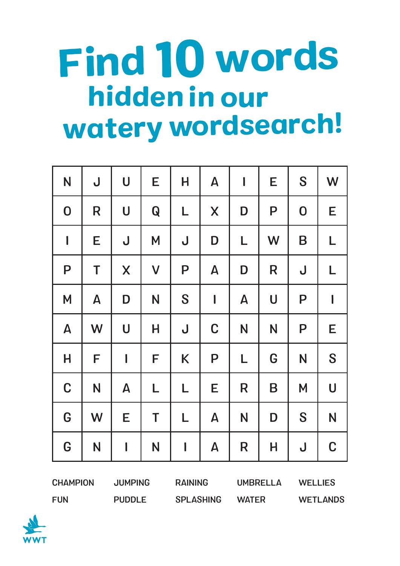## hiddenin our watery wordsearch! Find 10 words

| N                         | J                         | $\bigcup$          | E                                                                                                                                                                                                                                                                                                                                                                                          | H                                     | $\mathbf{A}$              | $\begin{array}{c} \hline \end{array}$ | E | S                                     | W           |
|---------------------------|---------------------------|--------------------|--------------------------------------------------------------------------------------------------------------------------------------------------------------------------------------------------------------------------------------------------------------------------------------------------------------------------------------------------------------------------------------------|---------------------------------------|---------------------------|---------------------------------------|---|---------------------------------------|-------------|
| $\mathbf 0$               | R                         | $\bigcup$          | $\mathbf Q$                                                                                                                                                                                                                                                                                                                                                                                | L                                     | X                         | D                                     | P | $\boldsymbol{0}$                      | E           |
| $\overline{\phantom{a}}$  | Е                         | $\bigcup$          | M                                                                                                                                                                                                                                                                                                                                                                                          | $\bigcup$                             |                           | L                                     | W | B                                     | L           |
| P                         | T                         | $\mathsf{X}$       | $\mathsf{V}$                                                                                                                                                                                                                                                                                                                                                                               | P                                     | $\boldsymbol{\mathsf{A}}$ | D                                     | R | $\bigcup$                             | L           |
| M                         | $\boldsymbol{\mathsf{A}}$ | D                  | S<br>$\begin{array}{c} \rule{0pt}{2.5ex} \rule{0pt}{2.5ex} \rule{0pt}{2.5ex} \rule{0pt}{2.5ex} \rule{0pt}{2.5ex} \rule{0pt}{2.5ex} \rule{0pt}{2.5ex} \rule{0pt}{2.5ex} \rule{0pt}{2.5ex} \rule{0pt}{2.5ex} \rule{0pt}{2.5ex} \rule{0pt}{2.5ex} \rule{0pt}{2.5ex} \rule{0pt}{2.5ex} \rule{0pt}{2.5ex} \rule{0pt}{2.5ex} \rule{0pt}{2.5ex} \rule{0pt}{2.5ex} \rule{0pt}{2.5ex} \rule{0$<br>N |                                       | $\boldsymbol{\mathsf{A}}$ | $\bigcup$                             | P | $\begin{array}{c} \hline \end{array}$ |             |
| $\boldsymbol{\mathsf{A}}$ | W                         | $\bigcup$          | H                                                                                                                                                                                                                                                                                                                                                                                          | $\bigcup$                             | $\mathbf C$               | N                                     | N | P                                     | E           |
| H                         | F                         | $\mathbf l$        | F                                                                                                                                                                                                                                                                                                                                                                                          | K                                     | P                         | L                                     |   | N                                     | S           |
| $\mathbf C$               | N                         | $\pmb{\mathsf{A}}$ | L                                                                                                                                                                                                                                                                                                                                                                                          | L                                     | E                         | R                                     | B | M                                     | $\bigcup$   |
| G                         | W                         | E                  | T                                                                                                                                                                                                                                                                                                                                                                                          | L                                     | $\boldsymbol{\mathsf{A}}$ | N                                     | D | S                                     | N           |
| G                         | N                         | $\mathbf I$        | N                                                                                                                                                                                                                                                                                                                                                                                          | $\begin{array}{c} \hline \end{array}$ | $\boldsymbol{\mathsf{A}}$ | R                                     | H | $\overline{\mathsf{U}}$               | $\mathbf C$ |

**CHAMPION** FUN JUMPING PUDDLE RAINING SPLASHING UMBRELLA WATER WELLIES WETLANDS